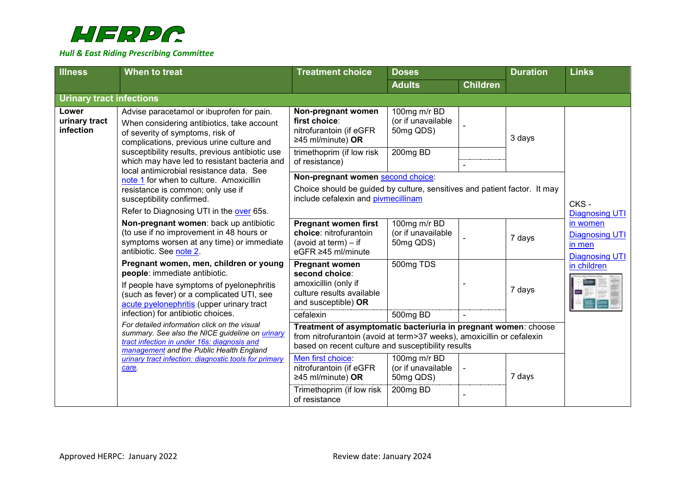

| <b>Illness</b>                      | When to treat                                                                                                                                                                                                                                                               | <b>Treatment choice</b>                                                                                                                                                                         | <b>Doses</b>                                    |                 | <b>Duration</b> | <b>Links</b>                                                                                  |
|-------------------------------------|-----------------------------------------------------------------------------------------------------------------------------------------------------------------------------------------------------------------------------------------------------------------------------|-------------------------------------------------------------------------------------------------------------------------------------------------------------------------------------------------|-------------------------------------------------|-----------------|-----------------|-----------------------------------------------------------------------------------------------|
|                                     |                                                                                                                                                                                                                                                                             |                                                                                                                                                                                                 | <b>Adults</b>                                   | <b>Children</b> |                 |                                                                                               |
| <b>Urinary tract infections</b>     |                                                                                                                                                                                                                                                                             |                                                                                                                                                                                                 |                                                 |                 |                 |                                                                                               |
| Lower<br>urinary tract<br>infection | Advise paracetamol or ibuprofen for pain.<br>When considering antibiotics, take account<br>of severity of symptoms, risk of<br>complications, previous urine culture and<br>susceptibility results, previous antibiotic use<br>which may have led to resistant bacteria and | Non-pregnant women<br>first choice:<br>nitrofurantoin (if eGFR<br>≥45 ml/minute) OR                                                                                                             | 100mg m/r BD<br>(or if unavailable<br>50mg QDS) |                 | 3 days          |                                                                                               |
|                                     |                                                                                                                                                                                                                                                                             | trimethoprim (if low risk<br>of resistance)                                                                                                                                                     | 200mg BD                                        |                 |                 |                                                                                               |
|                                     | local antimicrobial resistance data. See<br>note 1 for when to culture. Amoxicillin                                                                                                                                                                                         | Non-pregnant women second choice:                                                                                                                                                               |                                                 |                 |                 |                                                                                               |
|                                     | resistance is common; only use if<br>susceptibility confirmed.                                                                                                                                                                                                              | Choice should be guided by culture, sensitives and patient factor. It may<br>include cefalexin and pivmecillinam                                                                                |                                                 | CKS-            |                 |                                                                                               |
|                                     | Refer to Diagnosing UTI in the over 65s.                                                                                                                                                                                                                                    |                                                                                                                                                                                                 |                                                 |                 |                 | <b>Diagnosing UTI</b><br>in women<br><b>Diagnosing UTI</b><br>in men<br><b>Diagnosing UTI</b> |
|                                     | Non-pregnant women: back up antibiotic<br>(to use if no improvement in 48 hours or<br>symptoms worsen at any time) or immediate<br>antibiotic. See note 2.                                                                                                                  | <b>Pregnant women first</b><br>choice: nitrofurantoin<br>(avoid at term) $-$ if<br>eGFR ≥45 ml/minute                                                                                           | 100mg m/r BD<br>(or if unavailable<br>50mg QDS) |                 | 7 days          |                                                                                               |
|                                     | Pregnant women, men, children or young<br>people: immediate antibiotic.<br>If people have symptoms of pyelonephritis<br>(such as fever) or a complicated UTI, see<br>acute pyelonephritis (upper urinary tract                                                              | <b>Pregnant women</b><br>second choice:<br>amoxicillin (only if<br>culture results available<br>and susceptible) OR                                                                             | 500mg TDS                                       |                 | 7 days          | in children                                                                                   |
|                                     | infection) for antibiotic choices.                                                                                                                                                                                                                                          | cefalexin                                                                                                                                                                                       | 500mg BD                                        |                 |                 |                                                                                               |
|                                     | For detailed information click on the visual<br>summary. See also the NICE guideline on urinary<br>tract infection in under 16s: diagnosis and<br>management and the Public Health England<br>urinary tract infection: diagnostic tools for primary<br>care.                | Treatment of asymptomatic bacteriuria in pregnant women: choose<br>from nitrofurantoin (avoid at term>37 weeks), amoxicillin or cefalexin<br>based on recent culture and susceptibility results |                                                 |                 |                 |                                                                                               |
|                                     |                                                                                                                                                                                                                                                                             | Men first choice:<br>nitrofurantoin (if eGFR<br>≥45 ml/minute) OR                                                                                                                               | 100mg m/r BD<br>(or if unavailable<br>50mg QDS) |                 | 7 days          |                                                                                               |
|                                     |                                                                                                                                                                                                                                                                             | Trimethoprim (if low risk<br>of resistance                                                                                                                                                      | 200mg BD                                        |                 |                 |                                                                                               |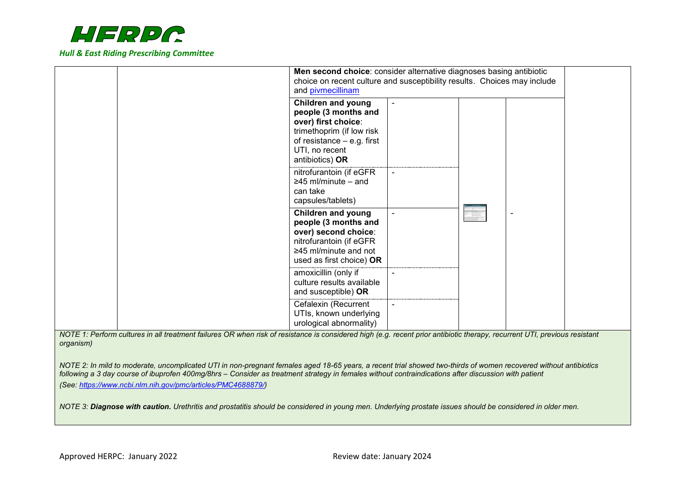

|                                                                                                                                                                           | Men second choice: consider alternative diagnoses basing antibiotic<br>choice on recent culture and susceptibility results. Choices may include<br>and pivmecillinam       |  |  |  |  |
|---------------------------------------------------------------------------------------------------------------------------------------------------------------------------|----------------------------------------------------------------------------------------------------------------------------------------------------------------------------|--|--|--|--|
|                                                                                                                                                                           | <b>Children and young</b><br>people (3 months and<br>over) first choice:<br>trimethoprim (if low risk<br>of resistance $-$ e.g. first<br>UTI, no recent<br>antibiotics) OR |  |  |  |  |
|                                                                                                                                                                           | nitrofurantoin (if eGFR<br>$\geq$ 45 ml/minute – and<br>can take<br>capsules/tablets)                                                                                      |  |  |  |  |
|                                                                                                                                                                           | <b>Children and young</b><br>people (3 months and<br>over) second choice:<br>nitrofurantoin (if eGFR<br>$\geq$ 45 ml/minute and not<br>used as first choice) OR            |  |  |  |  |
|                                                                                                                                                                           | amoxicillin (only if<br>culture results available<br>and susceptible) OR                                                                                                   |  |  |  |  |
| NOTE 1: Perform cultures in all treatment failures OR when risk of resistance is considered high (e.g. recent prior antibiotic therapy, recurrent UTI, previous resistant | Cefalexin (Recurrent<br>UTIs, known underlying<br>urological abnormality)                                                                                                  |  |  |  |  |

<span id="page-1-0"></span>*NOTE 1: Perform cultures in all treatment failures OR when risk of resistance is considered high (e.g. recent prior antibiotic therapy, recurrent UTI, previous resistant organism)*

<span id="page-1-1"></span>*NOTE 2: In mild to moderate, uncomplicated UTI in non-pregnant females aged 18-65 years, a recent trial showed two-thirds of women recovered without antibiotics following a 3 day course of ibuprofen 400mg/8hrs – Consider as treatment strategy in females without contraindications after discussion with patient (See: [https://www.ncbi.nlm.nih.gov/pmc/articles/PMC4688879/\)](https://www.ncbi.nlm.nih.gov/pmc/articles/PMC4688879/)*

<span id="page-1-2"></span>*NOTE 3: Diagnose with caution. Urethritis and prostatitis should be considered in young men. Underlying prostate issues should be considered in older men.*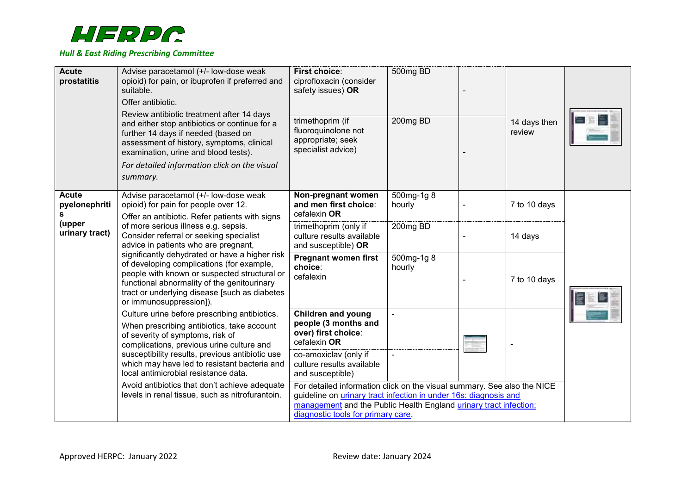

<span id="page-2-0"></span>

| <b>Acute</b><br>prostatitis        | Advise paracetamol (+/- low-dose weak<br>opioid) for pain, or ibuprofen if preferred and<br>suitable.<br>Offer antibiotic.<br>Review antibiotic treatment after 14 days<br>and either stop antibiotics or continue for a<br>further 14 days if needed (based on<br>assessment of history, symptoms, clinical<br>examination, urine and blood tests).<br>For detailed information click on the visual<br>summary. | <b>First choice:</b><br>ciprofloxacin (consider<br>safety issues) OR<br>trimethoprim (if<br>fluoroquinolone not<br>appropriate; seek<br>specialist advice)                                                                                                    | 500mg BD<br>200mg BD | 14 days then<br>review |  |
|------------------------------------|------------------------------------------------------------------------------------------------------------------------------------------------------------------------------------------------------------------------------------------------------------------------------------------------------------------------------------------------------------------------------------------------------------------|---------------------------------------------------------------------------------------------------------------------------------------------------------------------------------------------------------------------------------------------------------------|----------------------|------------------------|--|
| <b>Acute</b><br>pyelonephriti<br>s | Advise paracetamol (+/- low-dose weak<br>opioid) for pain for people over 12.<br>Offer an antibiotic. Refer patients with signs                                                                                                                                                                                                                                                                                  | Non-pregnant women<br>and men first choice:<br>cefalexin OR                                                                                                                                                                                                   | 500mg-1g 8<br>hourly | 7 to 10 days           |  |
| (upper<br>urinary tract)           | of more serious illness e.g. sepsis.<br>Consider referral or seeking specialist<br>advice in patients who are pregnant,<br>significantly dehydrated or have a higher risk<br>of developing complications (for example,<br>people with known or suspected structural or<br>functional abnormality of the genitourinary<br>tract or underlying disease [such as diabetes<br>or immunosuppression]).                | trimethoprim (only if<br>culture results available<br>and susceptible) OR                                                                                                                                                                                     | 200mg BD             | 14 days                |  |
|                                    |                                                                                                                                                                                                                                                                                                                                                                                                                  | <b>Pregnant women first</b><br>choice:<br>cefalexin                                                                                                                                                                                                           | 500mg-1g 8<br>hourly | 7 to 10 days           |  |
|                                    | Culture urine before prescribing antibiotics.<br>When prescribing antibiotics, take account<br>of severity of symptoms, risk of<br>complications, previous urine culture and                                                                                                                                                                                                                                     | <b>Children and young</b><br>people (3 months and<br>over) first choice:<br>cefalexin OR                                                                                                                                                                      |                      |                        |  |
|                                    | susceptibility results, previous antibiotic use<br>which may have led to resistant bacteria and<br>local antimicrobial resistance data.                                                                                                                                                                                                                                                                          | co-amoxiclav (only if<br>culture results available<br>and susceptible)                                                                                                                                                                                        |                      |                        |  |
|                                    | Avoid antibiotics that don't achieve adequate<br>levels in renal tissue, such as nitrofurantoin.                                                                                                                                                                                                                                                                                                                 | For detailed information click on the visual summary. See also the NICE<br>guideline on <i>urinary</i> tract infection in under 16s: diagnosis and<br>management and the Public Health England urinary tract infection:<br>diagnostic tools for primary care. |                      |                        |  |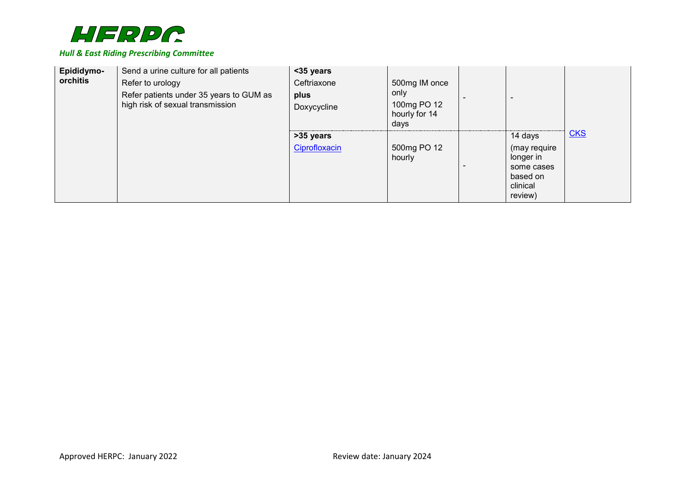

| Epididymo-<br>orchitis | Send a urine culture for all patients<br>Refer to urology<br>Refer patients under 35 years to GUM as<br>high risk of sexual transmission | <35 years<br>Ceftriaxone<br>plus<br>Doxycycline | 500mg IM once<br>only<br>100mg PO 12<br>hourly for 14<br>days |                                                                                       |     |
|------------------------|------------------------------------------------------------------------------------------------------------------------------------------|-------------------------------------------------|---------------------------------------------------------------|---------------------------------------------------------------------------------------|-----|
|                        |                                                                                                                                          | >35 years<br>Ciprofloxacin                      | 500mg PO 12<br>hourly                                         | 14 days<br>(may require<br>longer in<br>some cases<br>based on<br>clinical<br>review) | CKS |